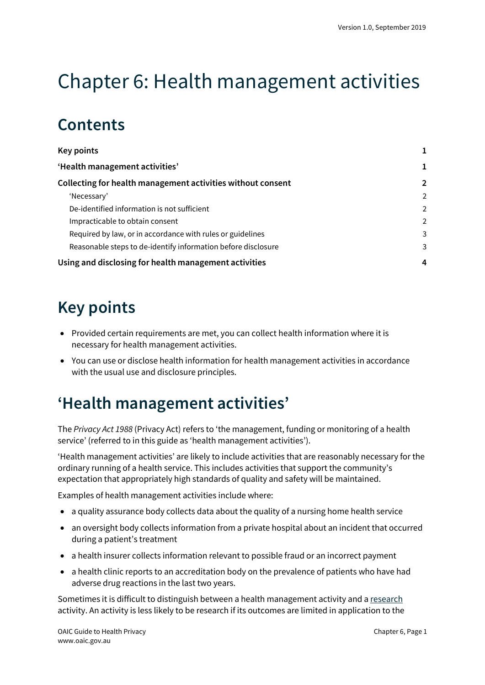# Chapter 6: Health management activities

## **Contents**

| <b>Key points</b>                                             |                |
|---------------------------------------------------------------|----------------|
| 'Health management activities'                                |                |
| Collecting for health management activities without consent   | $\overline{2}$ |
| 'Necessary'                                                   | $\overline{2}$ |
| De-identified information is not sufficient                   | $\overline{2}$ |
| Impracticable to obtain consent                               | $\mathcal{P}$  |
| Required by law, or in accordance with rules or guidelines    | 3              |
| Reasonable steps to de-identify information before disclosure | 3              |
| Using and disclosing for health management activities         | 4              |

## <span id="page-0-0"></span>**Key points**

- Provided certain requirements are met, you can collect health information where it is necessary for health management activities.
- You can use or disclose health information for health management activities in accordance with the usual use and disclosure principles.

## <span id="page-0-1"></span>**'Health management activities'**

The *Privacy Act 1988* (Privacy Act) refers to 'the management, funding or monitoring of a health service' (referred to in this guide as 'health management activities').

'Health management activities' are likely to include activities that are reasonably necessary for the ordinary running of a health service. This includes activities that support the community's expectation that appropriately high standards of quality and safety will be maintained.

Examples of health management activities include where:

- a quality assurance body collects data about the quality of a nursing home health service
- an oversight body collects information from a private hospital about an incident that occurred during a patient's treatment
- a health insurer collects information relevant to possible fraud or an incorrect payment
- a health clinic reports to an accreditation body on the prevalence of patients who have had adverse drug reactions in the last two years.

Sometimes it is difficult to distinguish between a health management activity and [a research](https://oaic.gov.au/privacy/guidance-and-advice/guide-to-health-privacy/chapter-9-research/) activity. An activity is less likely to be research if its outcomes are limited in application to the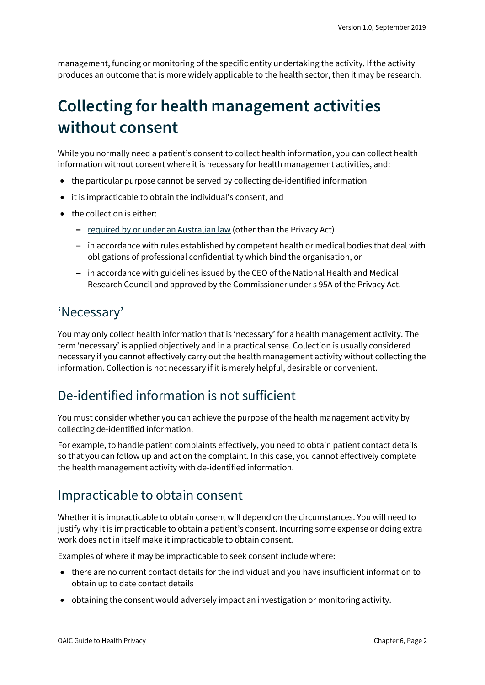management, funding or monitoring of the specific entity undertaking the activity. If the activity produces an outcome that is more widely applicable to the health sector, then it may be research.

## <span id="page-1-0"></span>**Collecting for health management activities without consent**

While you normally need a patient's consent to collect health information, you can collect health information without consent where it is necessary for health management activities, and:

- the particular purpose cannot be served by collecting de-identified information
- it is impracticable to obtain the individual's consent, and
- the collection is either:
	- $-$  [required by or under an Australian law](https://oaic.gov.au/privacy/australian-privacy-principles-guidelines/chapter-b-key-concepts/#required-or-authorised-by-or-under-an-australian-law-or-a-courttribunal-order) (other than the Privacy Act)
	- $-$  in accordance with rules established by competent health or medical bodies that deal with obligations of professional confidentiality which bind the organisation, or
	- $-$  in accordance with guidelines issued by the CEO of the National Health and Medical Research Council and approved by the Commissioner under s 95A of the Privacy Act.

#### <span id="page-1-1"></span>'Necessary'

You may only collect health information that is 'necessary' for a health management activity. The term 'necessary' is applied objectively and in a practical sense. Collection is usually considered necessary if you cannot effectively carry out the health management activity without collecting the information. Collection is not necessary if it is merely helpful, desirable or convenient.

### <span id="page-1-2"></span>De-identified information is not sufficient

You must consider whether you can achieve the purpose of the health management activity by collecting de-identified information.

For example, to handle patient complaints effectively, you need to obtain patient contact details so that you can follow up and act on the complaint. In this case, you cannot effectively complete the health management activity with de-identified information.

### <span id="page-1-3"></span>Impracticable to obtain consent

Whether it is impracticable to obtain consent will depend on the circumstances. You will need to justify why it is impracticable to obtain a patient's consent. Incurring some expense or doing extra work does not in itself make it impracticable to obtain consent.

Examples of where it may be impracticable to seek consent include where:

- there are no current contact details for the individual and you have insufficient information to obtain up to date contact details
- obtaining the consent would adversely impact an investigation or monitoring activity.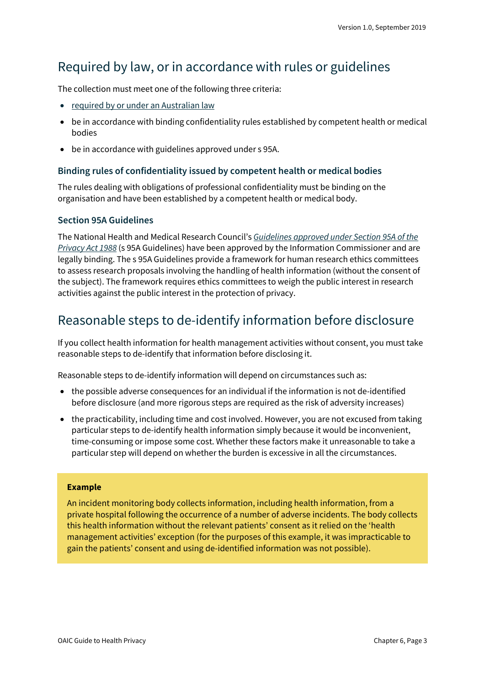### <span id="page-2-0"></span>Required by law, or in accordance with rules or guidelines

The collection must meet one of the following three criteria:

- [required by or under an Australian law](https://oaic.gov.au/privacy/australian-privacy-principles-guidelines/chapter-b-key-concepts/#required-or-authorised-by-or-under-an-australian-law-or-a-courttribunal-order)
- be in accordance with binding confidentiality rules established by competent health or medical bodies
- be in accordance with guidelines approved under s 95A.

#### **Binding rules of confidentiality issued by competent health or medical bodies**

The rules dealing with obligations of professional confidentiality must be binding on the organisation and have been established by a competent health or medical body.

#### **Section 95A Guidelines**

The National Health and Medical Research Council's *[Guidelines approved under Section 95A of the](https://www.legislation.gov.au/Series/F2014L00243)  [Privacy Act 1988](https://www.legislation.gov.au/Series/F2014L00243)* (s 95A Guidelines) have been approved by the Information Commissioner and are legally binding. The s 95A Guidelines provide a framework for human research ethics committees to assess research proposals involving the handling of health information (without the consent of the subject). The framework requires ethics committees to weigh the public interest in research activities against the public interest in the protection of privacy.

### <span id="page-2-1"></span>Reasonable steps to de-identify information before disclosure

If you collect health information for health management activities without consent, you must take reasonable steps to de-identify that information before disclosing it.

Reasonable steps to de-identify information will depend on circumstances such as:

- the possible adverse consequences for an individual if the information is not de-identified before disclosure (and more rigorous steps are required as the risk of adversity increases)
- the practicability, including time and cost involved. However, you are not excused from taking particular steps to de-identify health information simply because it would be inconvenient, time-consuming or impose some cost. Whether these factors make it unreasonable to take a particular step will depend on whether the burden is excessive in all the circumstances.

#### **Example**

An incident monitoring body collects information, including health information, from a private hospital following the occurrence of a number of adverse incidents. The body collects this health information without the relevant patients' consent as it relied on the 'health management activities' exception (for the purposes of this example, it was impracticable to gain the patients' consent and using de-identified information was not possible).